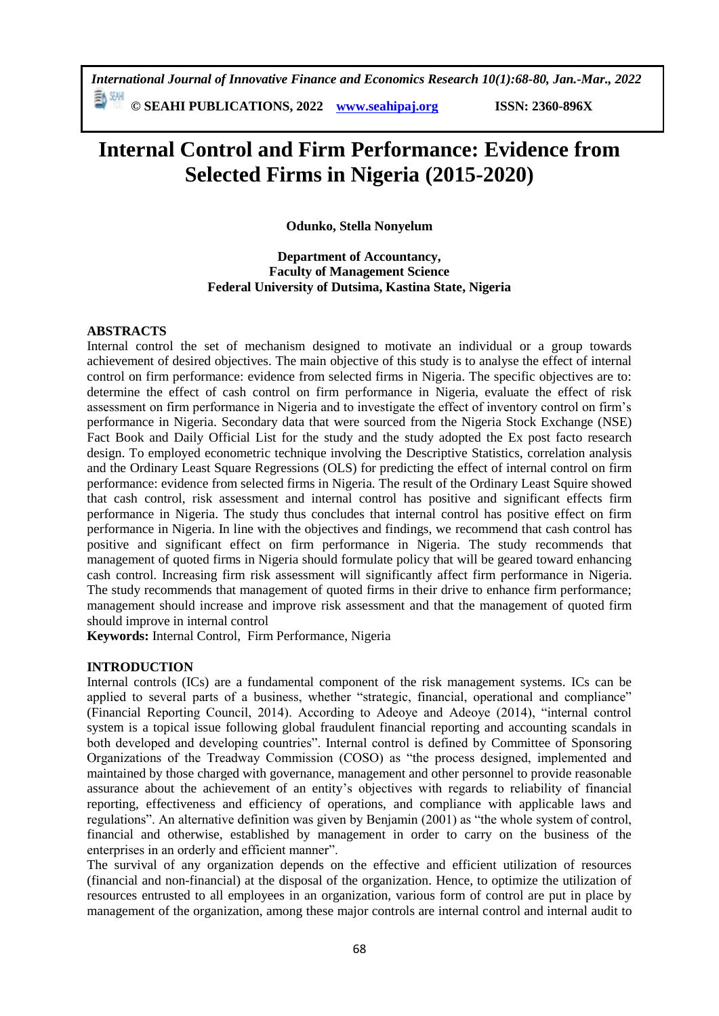勤酬 **© SEAHI PUBLICATIONS, 2022 [www.seahipaj.org](http://www.seahipaj.org/) ISSN: 2360-896X**

# **Internal Control and Firm Performance: Evidence from Selected Firms in Nigeria (2015-2020)**

**Odunko, Stella Nonyelum**

# **Department of Accountancy, Faculty of Management Science Federal University of Dutsima, Kastina State, Nigeria**

# **ABSTRACTS**

Internal control the set of mechanism designed to motivate an individual or a group towards achievement of desired objectives. The main objective of this study is to analyse the effect of internal control on firm performance: evidence from selected firms in Nigeria. The specific objectives are to: determine the effect of cash control on firm performance in Nigeria, evaluate the effect of risk assessment on firm performance in Nigeria and to investigate the effect of inventory control on firm's performance in Nigeria. Secondary data that were sourced from the Nigeria Stock Exchange (NSE) Fact Book and Daily Official List for the study and the study adopted the Ex post facto research design. To employed econometric technique involving the Descriptive Statistics, correlation analysis and the Ordinary Least Square Regressions (OLS) for predicting the effect of internal control on firm performance: evidence from selected firms in Nigeria. The result of the Ordinary Least Squire showed that cash control, risk assessment and internal control has positive and significant effects firm performance in Nigeria. The study thus concludes that internal control has positive effect on firm performance in Nigeria. In line with the objectives and findings, we recommend that cash control has positive and significant effect on firm performance in Nigeria. The study recommends that management of quoted firms in Nigeria should formulate policy that will be geared toward enhancing cash control. Increasing firm risk assessment will significantly affect firm performance in Nigeria. The study recommends that management of quoted firms in their drive to enhance firm performance; management should increase and improve risk assessment and that the management of quoted firm should improve in internal control

**Keywords:** Internal Control, Firm Performance, Nigeria

# **INTRODUCTION**

Internal controls (ICs) are a fundamental component of the risk management systems. ICs can be applied to several parts of a business, whether "strategic, financial, operational and compliance" (Financial Reporting Council, 2014). According to Adeoye and Adeoye (2014), "internal control system is a topical issue following global fraudulent financial reporting and accounting scandals in both developed and developing countries". Internal control is defined by Committee of Sponsoring Organizations of the Treadway Commission (COSO) as "the process designed, implemented and maintained by those charged with governance, management and other personnel to provide reasonable assurance about the achievement of an entity's objectives with regards to reliability of financial reporting, effectiveness and efficiency of operations, and compliance with applicable laws and regulations". An alternative definition was given by Benjamin (2001) as "the whole system of control, financial and otherwise, established by management in order to carry on the business of the enterprises in an orderly and efficient manner".

The survival of any organization depends on the effective and efficient utilization of resources (financial and non-financial) at the disposal of the organization. Hence, to optimize the utilization of resources entrusted to all employees in an organization, various form of control are put in place by management of the organization, among these major controls are internal control and internal audit to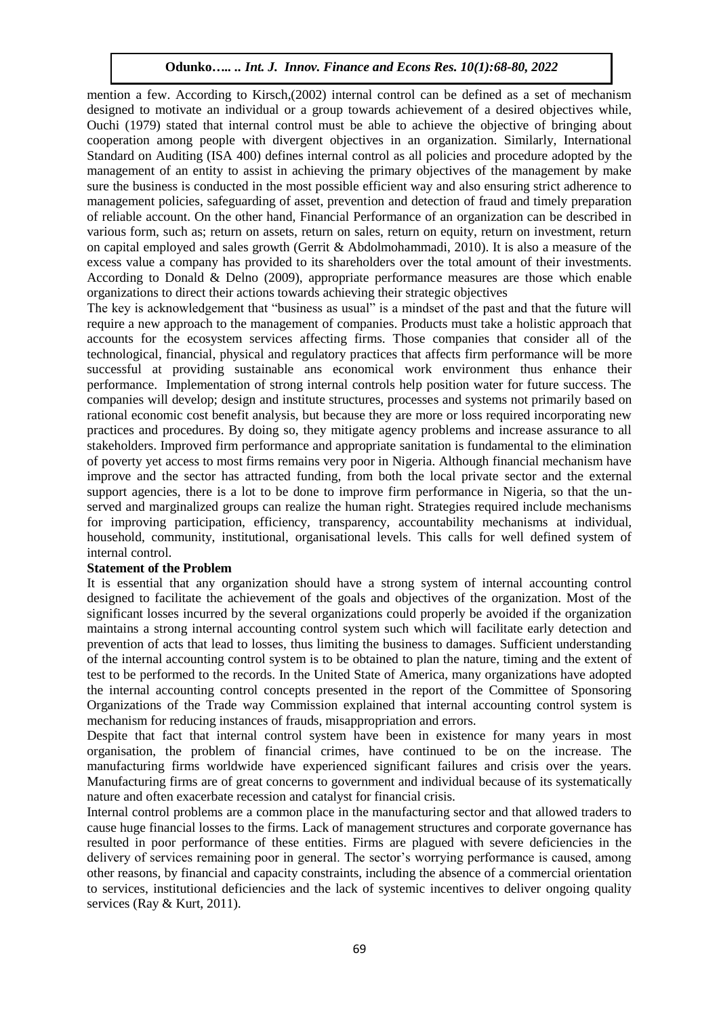mention a few. According to Kirsch,(2002) internal control can be defined as a set of mechanism designed to motivate an individual or a group towards achievement of a desired objectives while, Ouchi (1979) stated that internal control must be able to achieve the objective of bringing about cooperation among people with divergent objectives in an organization. Similarly, International Standard on Auditing (ISA 400) defines internal control as all policies and procedure adopted by the management of an entity to assist in achieving the primary objectives of the management by make sure the business is conducted in the most possible efficient way and also ensuring strict adherence to management policies, safeguarding of asset, prevention and detection of fraud and timely preparation of reliable account. On the other hand, Financial Performance of an organization can be described in various form, such as; return on assets, return on sales, return on equity, return on investment, return on capital employed and sales growth (Gerrit & Abdolmohammadi, 2010). It is also a measure of the excess value a company has provided to its shareholders over the total amount of their investments. According to Donald & Delno (2009), appropriate performance measures are those which enable organizations to direct their actions towards achieving their strategic objectives

The key is acknowledgement that "business as usual" is a mindset of the past and that the future will require a new approach to the management of companies. Products must take a holistic approach that accounts for the ecosystem services affecting firms. Those companies that consider all of the technological, financial, physical and regulatory practices that affects firm performance will be more successful at providing sustainable ans economical work environment thus enhance their performance. Implementation of strong internal controls help position water for future success. The companies will develop; design and institute structures, processes and systems not primarily based on rational economic cost benefit analysis, but because they are more or loss required incorporating new practices and procedures. By doing so, they mitigate agency problems and increase assurance to all stakeholders. Improved firm performance and appropriate sanitation is fundamental to the elimination of poverty yet access to most firms remains very poor in Nigeria. Although financial mechanism have improve and the sector has attracted funding, from both the local private sector and the external support agencies, there is a lot to be done to improve firm performance in Nigeria, so that the unserved and marginalized groups can realize the human right. Strategies required include mechanisms for improving participation, efficiency, transparency, accountability mechanisms at individual, household, community, institutional, organisational levels. This calls for well defined system of internal control.

### **Statement of the Problem**

It is essential that any organization should have a strong system of internal accounting control designed to facilitate the achievement of the goals and objectives of the organization. Most of the significant losses incurred by the several organizations could properly be avoided if the organization maintains a strong internal accounting control system such which will facilitate early detection and prevention of acts that lead to losses, thus limiting the business to damages. Sufficient understanding of the internal accounting control system is to be obtained to plan the nature, timing and the extent of test to be performed to the records. In the United State of America, many organizations have adopted the internal accounting control concepts presented in the report of the Committee of Sponsoring Organizations of the Trade way Commission explained that internal accounting control system is mechanism for reducing instances of frauds, misappropriation and errors.

Despite that fact that internal control system have been in existence for many years in most organisation, the problem of financial crimes, have continued to be on the increase. The manufacturing firms worldwide have experienced significant failures and crisis over the years. Manufacturing firms are of great concerns to government and individual because of its systematically nature and often exacerbate recession and catalyst for financial crisis.

Internal control problems are a common place in the manufacturing sector and that allowed traders to cause huge financial losses to the firms. Lack of management structures and corporate governance has resulted in poor performance of these entities. Firms are plagued with severe deficiencies in the delivery of services remaining poor in general. The sector's worrying performance is caused, among other reasons, by financial and capacity constraints, including the absence of a commercial orientation to services, institutional deficiencies and the lack of systemic incentives to deliver ongoing quality services (Ray & Kurt, 2011).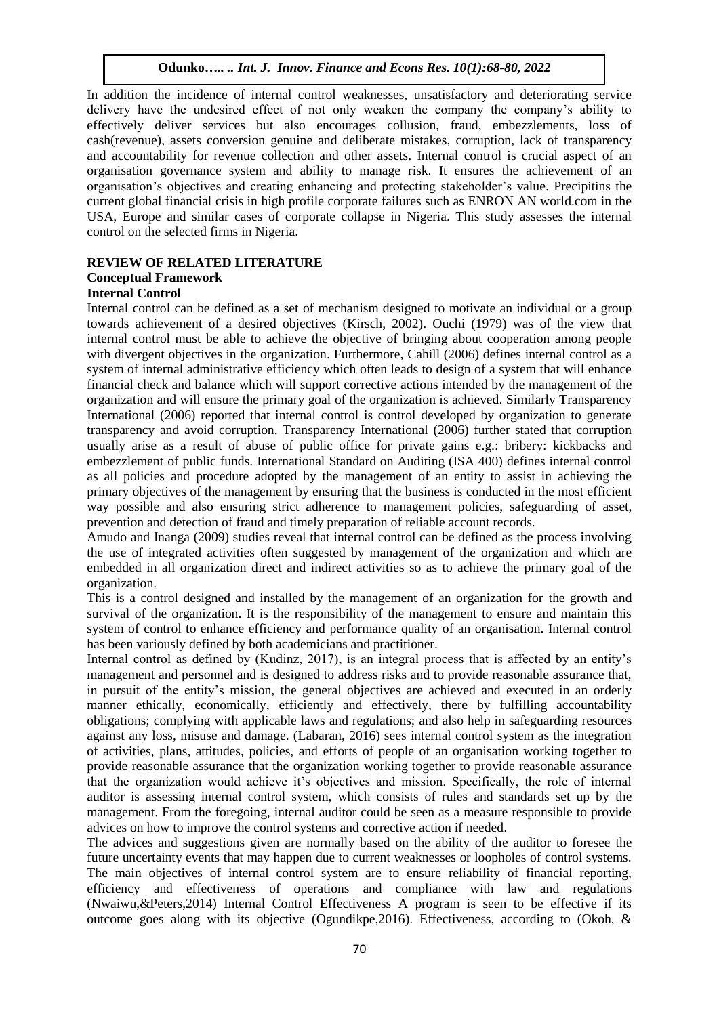In addition the incidence of internal control weaknesses, unsatisfactory and deteriorating service delivery have the undesired effect of not only weaken the company the company's ability to effectively deliver services but also encourages collusion, fraud, embezzlements, loss of cash(revenue), assets conversion genuine and deliberate mistakes, corruption, lack of transparency and accountability for revenue collection and other assets. Internal control is crucial aspect of an organisation governance system and ability to manage risk. It ensures the achievement of an organisation's objectives and creating enhancing and protecting stakeholder's value. Precipitins the current global financial crisis in high profile corporate failures such as ENRON AN world.com in the USA, Europe and similar cases of corporate collapse in Nigeria. This study assesses the internal control on the selected firms in Nigeria.

## **REVIEW OF RELATED LITERATURE**

# **Conceptual Framework**

# **Internal Control**

Internal control can be defined as a set of mechanism designed to motivate an individual or a group towards achievement of a desired objectives (Kirsch, 2002). Ouchi (1979) was of the view that internal control must be able to achieve the objective of bringing about cooperation among people with divergent objectives in the organization. Furthermore, Cahill (2006) defines internal control as a system of internal administrative efficiency which often leads to design of a system that will enhance financial check and balance which will support corrective actions intended by the management of the organization and will ensure the primary goal of the organization is achieved. Similarly Transparency International (2006) reported that internal control is control developed by organization to generate transparency and avoid corruption. Transparency International (2006) further stated that corruption usually arise as a result of abuse of public office for private gains e.g.: bribery: kickbacks and embezzlement of public funds. International Standard on Auditing (ISA 400) defines internal control as all policies and procedure adopted by the management of an entity to assist in achieving the primary objectives of the management by ensuring that the business is conducted in the most efficient way possible and also ensuring strict adherence to management policies, safeguarding of asset, prevention and detection of fraud and timely preparation of reliable account records.

Amudo and Inanga (2009) studies reveal that internal control can be defined as the process involving the use of integrated activities often suggested by management of the organization and which are embedded in all organization direct and indirect activities so as to achieve the primary goal of the organization.

This is a control designed and installed by the management of an organization for the growth and survival of the organization. It is the responsibility of the management to ensure and maintain this system of control to enhance efficiency and performance quality of an organisation. Internal control has been variously defined by both academicians and practitioner.

Internal control as defined by (Kudinz, 2017), is an integral process that is affected by an entity's management and personnel and is designed to address risks and to provide reasonable assurance that, in pursuit of the entity's mission, the general objectives are achieved and executed in an orderly manner ethically, economically, efficiently and effectively, there by fulfilling accountability obligations; complying with applicable laws and regulations; and also help in safeguarding resources against any loss, misuse and damage. (Labaran, 2016) sees internal control system as the integration of activities, plans, attitudes, policies, and efforts of people of an organisation working together to provide reasonable assurance that the organization working together to provide reasonable assurance that the organization would achieve it's objectives and mission. Specifically, the role of internal auditor is assessing internal control system, which consists of rules and standards set up by the management. From the foregoing, internal auditor could be seen as a measure responsible to provide advices on how to improve the control systems and corrective action if needed.

The advices and suggestions given are normally based on the ability of the auditor to foresee the future uncertainty events that may happen due to current weaknesses or loopholes of control systems. The main objectives of internal control system are to ensure reliability of financial reporting, efficiency and effectiveness of operations and compliance with law and regulations (Nwaiwu,&Peters,2014) Internal Control Effectiveness A program is seen to be effective if its outcome goes along with its objective (Ogundikpe,2016). Effectiveness, according to (Okoh, &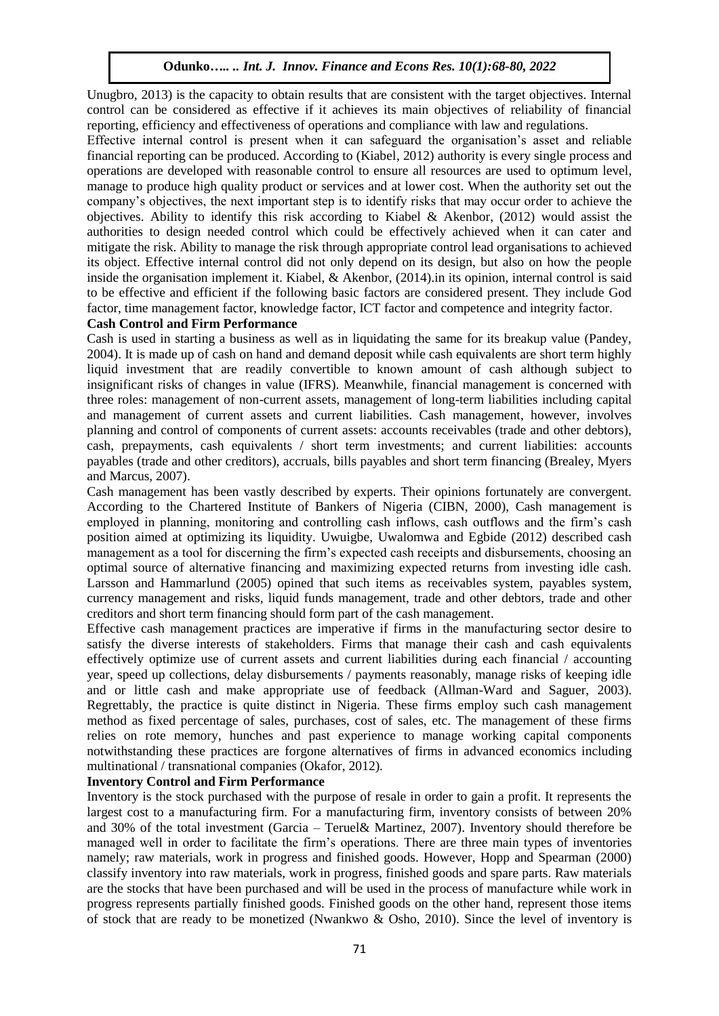Unugbro, 2013) is the capacity to obtain results that are consistent with the target objectives. Internal control can be considered as effective if it achieves its main objectives of reliability of financial reporting, efficiency and effectiveness of operations and compliance with law and regulations.

Effective internal control is present when it can safeguard the organisation's asset and reliable financial reporting can be produced. According to (Kiabel, 2012) authority is every single process and operations are developed with reasonable control to ensure all resources are used to optimum level, manage to produce high quality product or services and at lower cost. When the authority set out the company's objectives, the next important step is to identify risks that may occur order to achieve the objectives. Ability to identify this risk according to Kiabel & Akenbor, (2012) would assist the authorities to design needed control which could be effectively achieved when it can cater and mitigate the risk. Ability to manage the risk through appropriate control lead organisations to achieved its object. Effective internal control did not only depend on its design, but also on how the people inside the organisation implement it. Kiabel, & Akenbor, (2014).in its opinion, internal control is said to be effective and efficient if the following basic factors are considered present. They include God factor, time management factor, knowledge factor, ICT factor and competence and integrity factor.

# **Cash Control and Firm Performance**

Cash is used in starting a business as well as in liquidating the same for its breakup value (Pandey, 2004). It is made up of cash on hand and demand deposit while cash equivalents are short term highly liquid investment that are readily convertible to known amount of cash although subject to insignificant risks of changes in value (IFRS). Meanwhile, financial management is concerned with three roles: management of non-current assets, management of long-term liabilities including capital and management of current assets and current liabilities. Cash management, however, involves planning and control of components of current assets: accounts receivables (trade and other debtors), cash, prepayments, cash equivalents / short term investments; and current liabilities: accounts payables (trade and other creditors), accruals, bills payables and short term financing (Brealey, Myers and Marcus, 2007).

Cash management has been vastly described by experts. Their opinions fortunately are convergent. According to the Chartered Institute of Bankers of Nigeria (CIBN, 2000), Cash management is employed in planning, monitoring and controlling cash inflows, cash outflows and the firm's cash position aimed at optimizing its liquidity. Uwuigbe, Uwalomwa and Egbide (2012) described cash management as a tool for discerning the firm's expected cash receipts and disbursements, choosing an optimal source of alternative financing and maximizing expected returns from investing idle cash. Larsson and Hammarlund (2005) opined that such items as receivables system, payables system, currency management and risks, liquid funds management, trade and other debtors, trade and other creditors and short term financing should form part of the cash management.

Effective cash management practices are imperative if firms in the manufacturing sector desire to satisfy the diverse interests of stakeholders. Firms that manage their cash and cash equivalents effectively optimize use of current assets and current liabilities during each financial / accounting year, speed up collections, delay disbursements / payments reasonably, manage risks of keeping idle and or little cash and make appropriate use of feedback (Allman-Ward and Saguer, 2003). Regrettably, the practice is quite distinct in Nigeria. These firms employ such cash management method as fixed percentage of sales, purchases, cost of sales, etc. The management of these firms relies on rote memory, hunches and past experience to manage working capital components notwithstanding these practices are forgone alternatives of firms in advanced economics including multinational / transnational companies (Okafor, 2012).

## **Inventory Control and Firm Performance**

Inventory is the stock purchased with the purpose of resale in order to gain a profit. It represents the largest cost to a manufacturing firm. For a manufacturing firm, inventory consists of between 20% and 30% of the total investment (Garcia – Teruel& Martinez, 2007). Inventory should therefore be managed well in order to facilitate the firm's operations. There are three main types of inventories namely; raw materials, work in progress and finished goods. However, Hopp and Spearman (2000) classify inventory into raw materials, work in progress, finished goods and spare parts. Raw materials are the stocks that have been purchased and will be used in the process of manufacture while work in progress represents partially finished goods. Finished goods on the other hand, represent those items of stock that are ready to be monetized (Nwankwo & Osho, 2010). Since the level of inventory is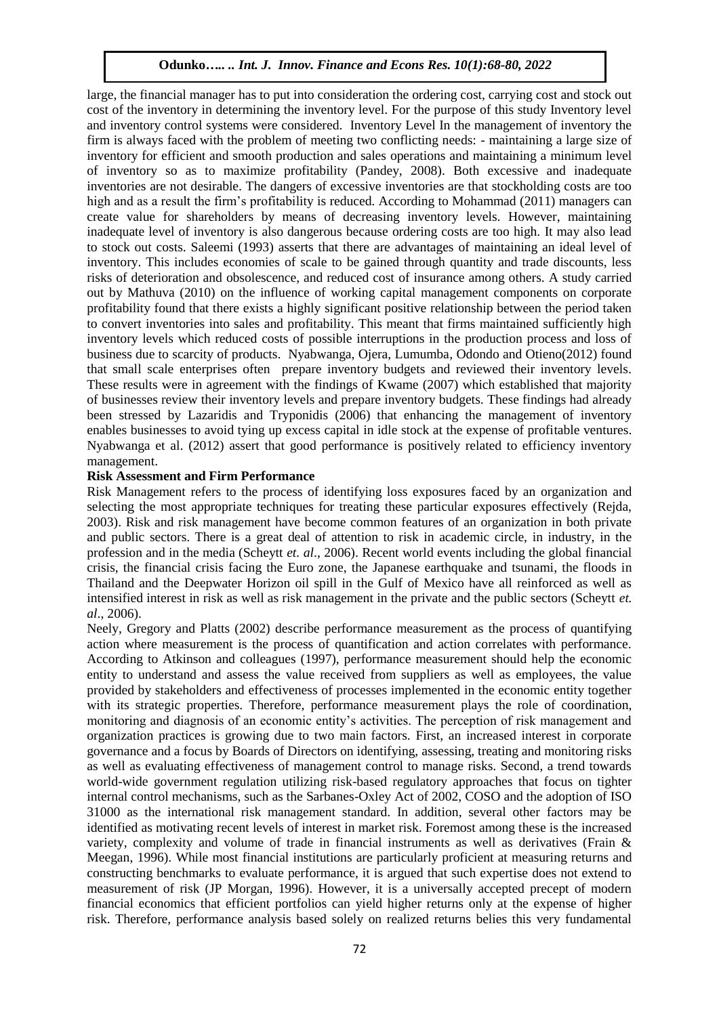large, the financial manager has to put into consideration the ordering cost, carrying cost and stock out cost of the inventory in determining the inventory level. For the purpose of this study Inventory level and inventory control systems were considered. Inventory Level In the management of inventory the firm is always faced with the problem of meeting two conflicting needs: - maintaining a large size of inventory for efficient and smooth production and sales operations and maintaining a minimum level of inventory so as to maximize profitability (Pandey, 2008). Both excessive and inadequate inventories are not desirable. The dangers of excessive inventories are that stockholding costs are too high and as a result the firm's profitability is reduced. According to Mohammad (2011) managers can create value for shareholders by means of decreasing inventory levels. However, maintaining inadequate level of inventory is also dangerous because ordering costs are too high. It may also lead to stock out costs. Saleemi (1993) asserts that there are advantages of maintaining an ideal level of inventory. This includes economies of scale to be gained through quantity and trade discounts, less risks of deterioration and obsolescence, and reduced cost of insurance among others. A study carried out by Mathuva (2010) on the influence of working capital management components on corporate profitability found that there exists a highly significant positive relationship between the period taken to convert inventories into sales and profitability. This meant that firms maintained sufficiently high inventory levels which reduced costs of possible interruptions in the production process and loss of business due to scarcity of products. Nyabwanga, Ojera, Lumumba, Odondo and Otieno(2012) found that small scale enterprises often prepare inventory budgets and reviewed their inventory levels. These results were in agreement with the findings of Kwame (2007) which established that majority of businesses review their inventory levels and prepare inventory budgets. These findings had already been stressed by Lazaridis and Tryponidis (2006) that enhancing the management of inventory enables businesses to avoid tying up excess capital in idle stock at the expense of profitable ventures. Nyabwanga et al. (2012) assert that good performance is positively related to efficiency inventory management.

### **Risk Assessment and Firm Performance**

Risk Management refers to the process of identifying loss exposures faced by an organization and selecting the most appropriate techniques for treating these particular exposures effectively (Rejda, 2003). Risk and risk management have become common features of an organization in both private and public sectors. There is a great deal of attention to risk in academic circle, in industry, in the profession and in the media (Scheytt *et. al*., 2006). Recent world events including the global financial crisis, the financial crisis facing the Euro zone, the Japanese earthquake and tsunami, the floods in Thailand and the Deepwater Horizon oil spill in the Gulf of Mexico have all reinforced as well as intensified interest in risk as well as risk management in the private and the public sectors (Scheytt *et. al*., 2006).

Neely, Gregory and Platts (2002) describe performance measurement as the process of quantifying action where measurement is the process of quantification and action correlates with performance. According to Atkinson and colleagues (1997), performance measurement should help the economic entity to understand and assess the value received from suppliers as well as employees, the value provided by stakeholders and effectiveness of processes implemented in the economic entity together with its strategic properties. Therefore, performance measurement plays the role of coordination, monitoring and diagnosis of an economic entity's activities. The perception of risk management and organization practices is growing due to two main factors. First, an increased interest in corporate governance and a focus by Boards of Directors on identifying, assessing, treating and monitoring risks as well as evaluating effectiveness of management control to manage risks. Second, a trend towards world-wide government regulation utilizing risk-based regulatory approaches that focus on tighter internal control mechanisms, such as the Sarbanes-Oxley Act of 2002, COSO and the adoption of ISO 31000 as the international risk management standard. In addition, several other factors may be identified as motivating recent levels of interest in market risk. Foremost among these is the increased variety, complexity and volume of trade in financial instruments as well as derivatives (Frain & Meegan, 1996). While most financial institutions are particularly proficient at measuring returns and constructing benchmarks to evaluate performance, it is argued that such expertise does not extend to measurement of risk (JP Morgan, 1996). However, it is a universally accepted precept of modern financial economics that efficient portfolios can yield higher returns only at the expense of higher risk. Therefore, performance analysis based solely on realized returns belies this very fundamental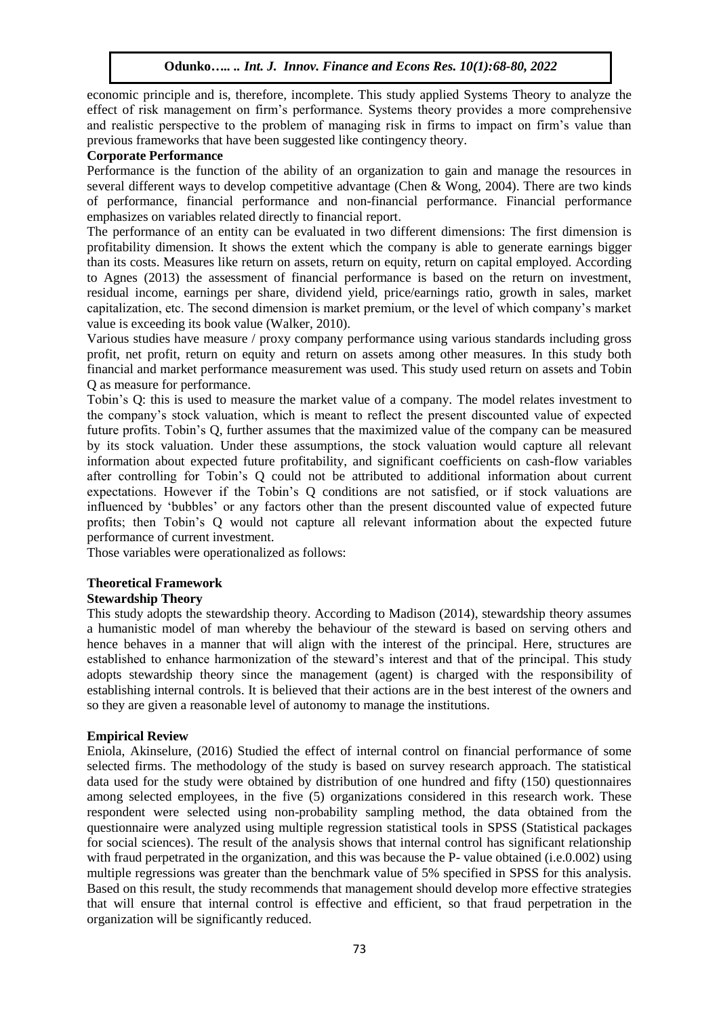economic principle and is, therefore, incomplete. This study applied Systems Theory to analyze the effect of risk management on firm's performance. Systems theory provides a more comprehensive and realistic perspective to the problem of managing risk in firms to impact on firm's value than previous frameworks that have been suggested like contingency theory.

## **Corporate Performance**

Performance is the function of the ability of an organization to gain and manage the resources in several different ways to develop competitive advantage (Chen & Wong, 2004). There are two kinds of performance, financial performance and non-financial performance. Financial performance emphasizes on variables related directly to financial report.

The performance of an entity can be evaluated in two different dimensions: The first dimension is profitability dimension. It shows the extent which the company is able to generate earnings bigger than its costs. Measures like return on assets, return on equity, return on capital employed. According to Agnes (2013) the assessment of financial performance is based on the return on investment, residual income, earnings per share, dividend yield, price/earnings ratio, growth in sales, market capitalization, etc. The second dimension is market premium, or the level of which company's market value is exceeding its book value (Walker, 2010).

Various studies have measure / proxy company performance using various standards including gross profit, net profit, return on equity and return on assets among other measures. In this study both financial and market performance measurement was used. This study used return on assets and Tobin Q as measure for performance.

Tobin's Q: this is used to measure the market value of a company. The model relates investment to the company's stock valuation, which is meant to reflect the present discounted value of expected future profits. Tobin's Q, further assumes that the maximized value of the company can be measured by its stock valuation. Under these assumptions, the stock valuation would capture all relevant information about expected future profitability, and significant coefficients on cash-flow variables after controlling for Tobin's Q could not be attributed to additional information about current expectations. However if the Tobin's Q conditions are not satisfied, or if stock valuations are influenced by 'bubbles' or any factors other than the present discounted value of expected future profits; then Tobin's Q would not capture all relevant information about the expected future performance of current investment.

Those variables were operationalized as follows:

# **Theoretical Framework**

# **Stewardship Theory**

This study adopts the stewardship theory. According to Madison (2014), stewardship theory assumes a humanistic model of man whereby the behaviour of the steward is based on serving others and hence behaves in a manner that will align with the interest of the principal. Here, structures are established to enhance harmonization of the steward's interest and that of the principal. This study adopts stewardship theory since the management (agent) is charged with the responsibility of establishing internal controls. It is believed that their actions are in the best interest of the owners and so they are given a reasonable level of autonomy to manage the institutions.

### **Empirical Review**

Eniola, Akinselure, (2016) Studied the effect of internal control on financial performance of some selected firms. The methodology of the study is based on survey research approach. The statistical data used for the study were obtained by distribution of one hundred and fifty (150) questionnaires among selected employees, in the five (5) organizations considered in this research work. These respondent were selected using non-probability sampling method, the data obtained from the questionnaire were analyzed using multiple regression statistical tools in SPSS (Statistical packages for social sciences). The result of the analysis shows that internal control has significant relationship with fraud perpetrated in the organization, and this was because the P- value obtained (i.e.0.002) using multiple regressions was greater than the benchmark value of 5% specified in SPSS for this analysis. Based on this result, the study recommends that management should develop more effective strategies that will ensure that internal control is effective and efficient, so that fraud perpetration in the organization will be significantly reduced.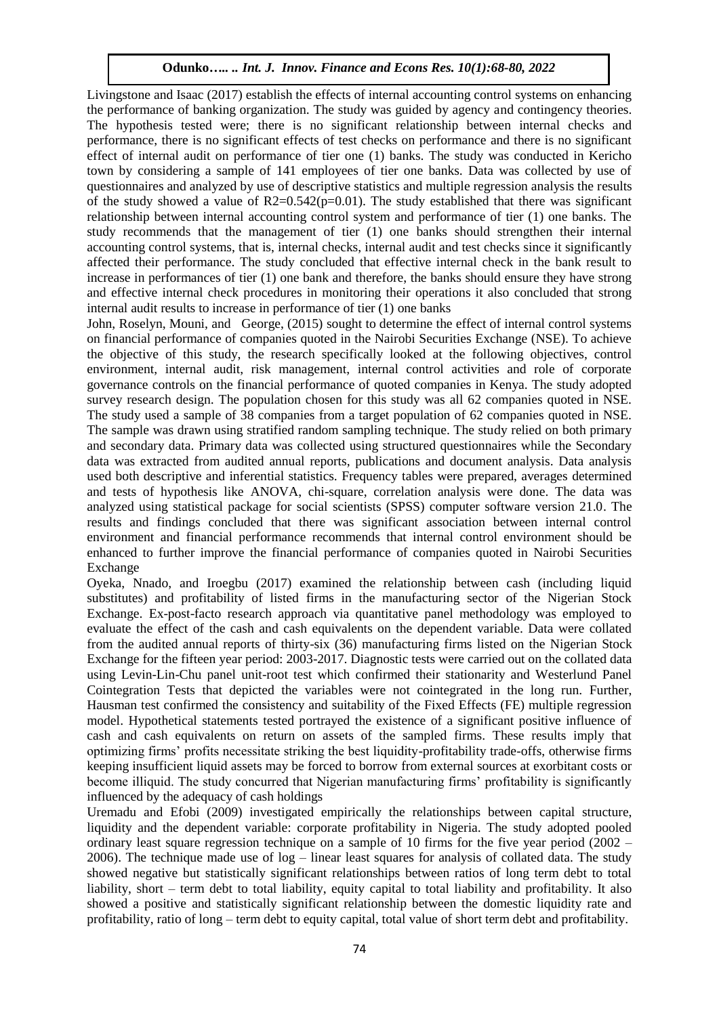Livingstone and Isaac (2017) establish the effects of internal accounting control systems on enhancing the performance of banking organization. The study was guided by agency and contingency theories. The hypothesis tested were; there is no significant relationship between internal checks and performance, there is no significant effects of test checks on performance and there is no significant effect of internal audit on performance of tier one (1) banks. The study was conducted in Kericho town by considering a sample of 141 employees of tier one banks. Data was collected by use of questionnaires and analyzed by use of descriptive statistics and multiple regression analysis the results of the study showed a value of  $R2=0.542(p=0.01)$ . The study established that there was significant relationship between internal accounting control system and performance of tier (1) one banks. The study recommends that the management of tier (1) one banks should strengthen their internal accounting control systems, that is, internal checks, internal audit and test checks since it significantly affected their performance. The study concluded that effective internal check in the bank result to increase in performances of tier (1) one bank and therefore, the banks should ensure they have strong and effective internal check procedures in monitoring their operations it also concluded that strong internal audit results to increase in performance of tier (1) one banks

John, Roselyn, Mouni, and George, (2015) sought to determine the effect of internal control systems on financial performance of companies quoted in the Nairobi Securities Exchange (NSE). To achieve the objective of this study, the research specifically looked at the following objectives, control environment, internal audit, risk management, internal control activities and role of corporate governance controls on the financial performance of quoted companies in Kenya. The study adopted survey research design. The population chosen for this study was all 62 companies quoted in NSE. The study used a sample of 38 companies from a target population of 62 companies quoted in NSE. The sample was drawn using stratified random sampling technique. The study relied on both primary and secondary data. Primary data was collected using structured questionnaires while the Secondary data was extracted from audited annual reports, publications and document analysis. Data analysis used both descriptive and inferential statistics. Frequency tables were prepared, averages determined and tests of hypothesis like ANOVA, chi-square, correlation analysis were done. The data was analyzed using statistical package for social scientists (SPSS) computer software version 21.0. The results and findings concluded that there was significant association between internal control environment and financial performance recommends that internal control environment should be enhanced to further improve the financial performance of companies quoted in Nairobi Securities Exchange

Oyeka, Nnado, and Iroegbu (2017) examined the relationship between cash (including liquid substitutes) and profitability of listed firms in the manufacturing sector of the Nigerian Stock Exchange. Ex-post-facto research approach via quantitative panel methodology was employed to evaluate the effect of the cash and cash equivalents on the dependent variable. Data were collated from the audited annual reports of thirty-six (36) manufacturing firms listed on the Nigerian Stock Exchange for the fifteen year period: 2003-2017. Diagnostic tests were carried out on the collated data using Levin-Lin-Chu panel unit-root test which confirmed their stationarity and Westerlund Panel Cointegration Tests that depicted the variables were not cointegrated in the long run. Further, Hausman test confirmed the consistency and suitability of the Fixed Effects (FE) multiple regression model. Hypothetical statements tested portrayed the existence of a significant positive influence of cash and cash equivalents on return on assets of the sampled firms. These results imply that optimizing firms' profits necessitate striking the best liquidity-profitability trade-offs, otherwise firms keeping insufficient liquid assets may be forced to borrow from external sources at exorbitant costs or become illiquid. The study concurred that Nigerian manufacturing firms' profitability is significantly influenced by the adequacy of cash holdings

Uremadu and Efobi (2009) investigated empirically the relationships between capital structure, liquidity and the dependent variable: corporate profitability in Nigeria. The study adopted pooled ordinary least square regression technique on a sample of 10 firms for the five year period (2002 – 2006). The technique made use of log – linear least squares for analysis of collated data. The study showed negative but statistically significant relationships between ratios of long term debt to total liability, short – term debt to total liability, equity capital to total liability and profitability. It also showed a positive and statistically significant relationship between the domestic liquidity rate and profitability, ratio of long – term debt to equity capital, total value of short term debt and profitability.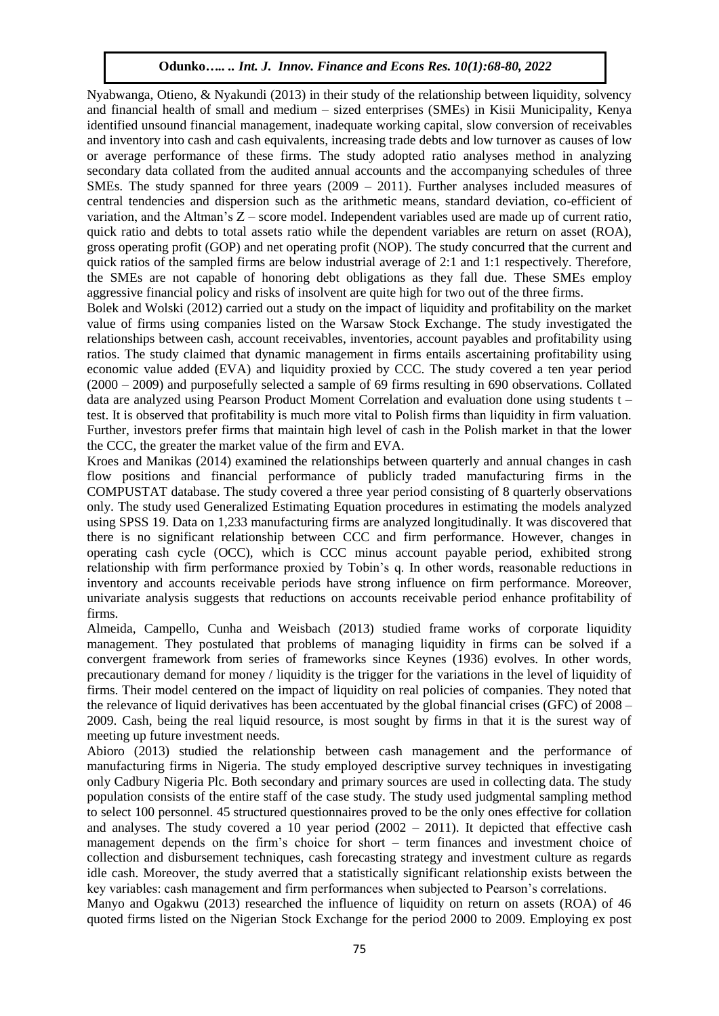Nyabwanga, Otieno, & Nyakundi (2013) in their study of the relationship between liquidity, solvency and financial health of small and medium – sized enterprises (SMEs) in Kisii Municipality, Kenya identified unsound financial management, inadequate working capital, slow conversion of receivables and inventory into cash and cash equivalents, increasing trade debts and low turnover as causes of low or average performance of these firms. The study adopted ratio analyses method in analyzing secondary data collated from the audited annual accounts and the accompanying schedules of three SMEs. The study spanned for three years (2009 – 2011). Further analyses included measures of central tendencies and dispersion such as the arithmetic means, standard deviation, co-efficient of variation, and the Altman's Z – score model. Independent variables used are made up of current ratio, quick ratio and debts to total assets ratio while the dependent variables are return on asset (ROA), gross operating profit (GOP) and net operating profit (NOP). The study concurred that the current and quick ratios of the sampled firms are below industrial average of 2:1 and 1:1 respectively. Therefore, the SMEs are not capable of honoring debt obligations as they fall due. These SMEs employ aggressive financial policy and risks of insolvent are quite high for two out of the three firms.

Bolek and Wolski (2012) carried out a study on the impact of liquidity and profitability on the market value of firms using companies listed on the Warsaw Stock Exchange. The study investigated the relationships between cash, account receivables, inventories, account payables and profitability using ratios. The study claimed that dynamic management in firms entails ascertaining profitability using economic value added (EVA) and liquidity proxied by CCC. The study covered a ten year period (2000 – 2009) and purposefully selected a sample of 69 firms resulting in 690 observations. Collated data are analyzed using Pearson Product Moment Correlation and evaluation done using students t – test. It is observed that profitability is much more vital to Polish firms than liquidity in firm valuation. Further, investors prefer firms that maintain high level of cash in the Polish market in that the lower the CCC, the greater the market value of the firm and EVA.

Kroes and Manikas (2014) examined the relationships between quarterly and annual changes in cash flow positions and financial performance of publicly traded manufacturing firms in the COMPUSTAT database. The study covered a three year period consisting of 8 quarterly observations only. The study used Generalized Estimating Equation procedures in estimating the models analyzed using SPSS 19. Data on 1,233 manufacturing firms are analyzed longitudinally. It was discovered that there is no significant relationship between CCC and firm performance. However, changes in operating cash cycle (OCC), which is CCC minus account payable period, exhibited strong relationship with firm performance proxied by Tobin's q. In other words, reasonable reductions in inventory and accounts receivable periods have strong influence on firm performance. Moreover, univariate analysis suggests that reductions on accounts receivable period enhance profitability of firms.

Almeida, Campello, Cunha and Weisbach (2013) studied frame works of corporate liquidity management. They postulated that problems of managing liquidity in firms can be solved if a convergent framework from series of frameworks since Keynes (1936) evolves. In other words, precautionary demand for money / liquidity is the trigger for the variations in the level of liquidity of firms. Their model centered on the impact of liquidity on real policies of companies. They noted that the relevance of liquid derivatives has been accentuated by the global financial crises (GFC) of 2008 – 2009. Cash, being the real liquid resource, is most sought by firms in that it is the surest way of meeting up future investment needs.

Abioro (2013) studied the relationship between cash management and the performance of manufacturing firms in Nigeria. The study employed descriptive survey techniques in investigating only Cadbury Nigeria Plc. Both secondary and primary sources are used in collecting data. The study population consists of the entire staff of the case study. The study used judgmental sampling method to select 100 personnel. 45 structured questionnaires proved to be the only ones effective for collation and analyses. The study covered a 10 year period  $(2002 - 2011)$ . It depicted that effective cash management depends on the firm's choice for short – term finances and investment choice of collection and disbursement techniques, cash forecasting strategy and investment culture as regards idle cash. Moreover, the study averred that a statistically significant relationship exists between the key variables: cash management and firm performances when subjected to Pearson's correlations.

Manyo and Ogakwu (2013) researched the influence of liquidity on return on assets (ROA) of 46 quoted firms listed on the Nigerian Stock Exchange for the period 2000 to 2009. Employing ex post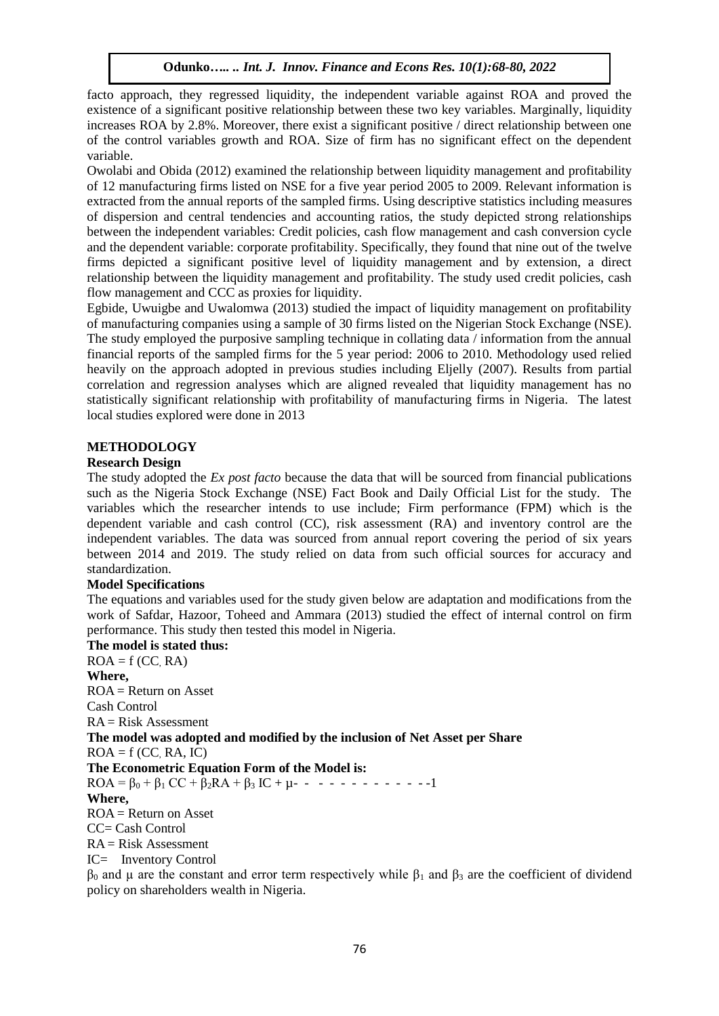facto approach, they regressed liquidity, the independent variable against ROA and proved the existence of a significant positive relationship between these two key variables. Marginally, liquidity increases ROA by 2.8%. Moreover, there exist a significant positive / direct relationship between one of the control variables growth and ROA. Size of firm has no significant effect on the dependent variable.

Owolabi and Obida (2012) examined the relationship between liquidity management and profitability of 12 manufacturing firms listed on NSE for a five year period 2005 to 2009. Relevant information is extracted from the annual reports of the sampled firms. Using descriptive statistics including measures of dispersion and central tendencies and accounting ratios, the study depicted strong relationships between the independent variables: Credit policies, cash flow management and cash conversion cycle and the dependent variable: corporate profitability. Specifically, they found that nine out of the twelve firms depicted a significant positive level of liquidity management and by extension, a direct relationship between the liquidity management and profitability. The study used credit policies, cash flow management and CCC as proxies for liquidity.

Egbide, Uwuigbe and Uwalomwa (2013) studied the impact of liquidity management on profitability of manufacturing companies using a sample of 30 firms listed on the Nigerian Stock Exchange (NSE). The study employed the purposive sampling technique in collating data / information from the annual financial reports of the sampled firms for the 5 year period: 2006 to 2010. Methodology used relied heavily on the approach adopted in previous studies including Eljelly (2007). Results from partial correlation and regression analyses which are aligned revealed that liquidity management has no statistically significant relationship with profitability of manufacturing firms in Nigeria. The latest local studies explored were done in 2013

# **METHODOLOGY**

# **Research Design**

The study adopted the *Ex post facto* because the data that will be sourced from financial publications such as the Nigeria Stock Exchange (NSE) Fact Book and Daily Official List for the study. The variables which the researcher intends to use include; Firm performance (FPM) which is the dependent variable and cash control (CC), risk assessment (RA) and inventory control are the independent variables. The data was sourced from annual report covering the period of six years between 2014 and 2019. The study relied on data from such official sources for accuracy and standardization.

# **Model Specifications**

The equations and variables used for the study given below are adaptation and modifications from the work of Safdar, Hazoor, Toheed and Ammara (2013) studied the effect of internal control on firm performance. This study then tested this model in Nigeria.

**The model is stated thus:**  $ROA = f (CC, RA)$ **Where,**  $ROA = Return on Asset$ 

Cash Control  $RA = Risk Assessment$ **The model was adopted and modified by the inclusion of Net Asset per Share**  $ROA = f (CC, RA, IC)$ **The Econometric Equation Form of the Model is:**  $ROA = \beta_0 + \beta_1 CC + \beta_2 RA + \beta_3 IC + \mu - \cdots - \cdots - \cdots -1$ **Where,**  $ROA = Return on Asset$ CC= Cash Control  $RA = Risk Assessment$ IC= Inventory Control

 $β_0$  and μ are the constant and error term respectively while  $β_1$  and  $β_3$  are the coefficient of dividend policy on shareholders wealth in Nigeria.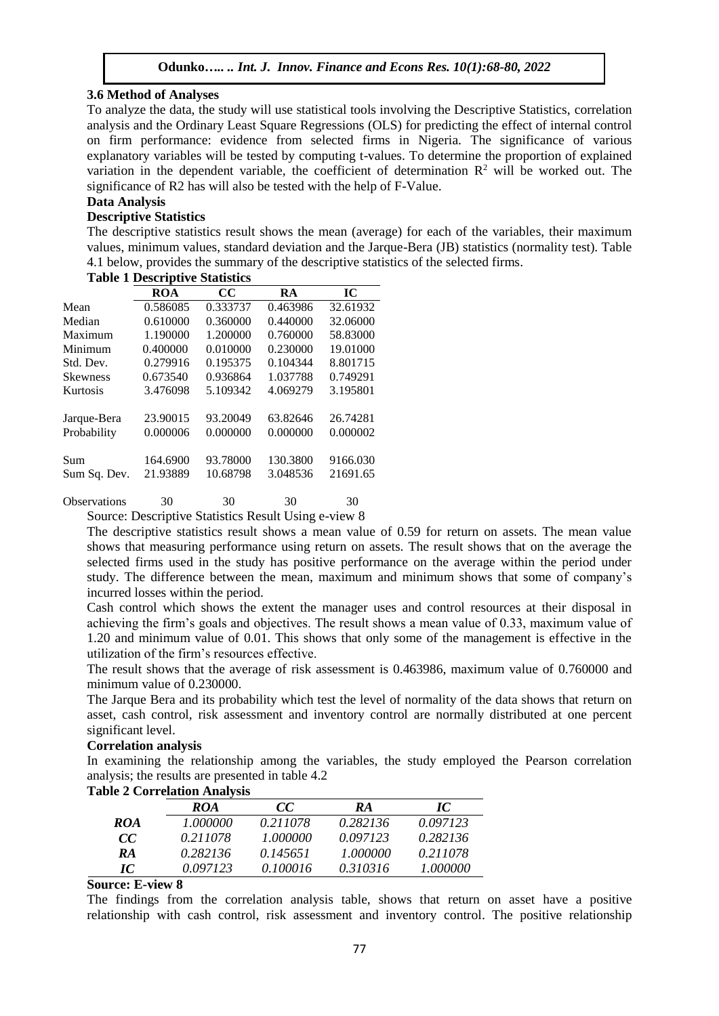## **3.6 Method of Analyses**

To analyze the data, the study will use statistical tools involving the Descriptive Statistics, correlation analysis and the Ordinary Least Square Regressions (OLS) for predicting the effect of internal control on firm performance: evidence from selected firms in Nigeria. The significance of various explanatory variables will be tested by computing t-values. To determine the proportion of explained variation in the dependent variable, the coefficient of determination  $R<sup>2</sup>$  will be worked out. The significance of R2 has will also be tested with the help of F-Value.

# **Data Analysis**

# **Descriptive Statistics**

The descriptive statistics result shows the mean (average) for each of the variables, their maximum values, minimum values, standard deviation and the Jarque-Bera (JB) statistics (normality test). Table 4.1 below, provides the summary of the descriptive statistics of the selected firms.

|                 | ROA      | CC       | RA       | IC       |
|-----------------|----------|----------|----------|----------|
| Mean            | 0.586085 | 0.333737 | 0.463986 | 32.61932 |
| Median          | 0.610000 | 0.360000 | 0.440000 | 32.06000 |
| Maximum         | 1.190000 | 1.200000 | 0.760000 | 58.83000 |
| Minimum         | 0.400000 | 0.010000 | 0.230000 | 19.01000 |
| Std. Dev.       | 0.279916 | 0.195375 | 0.104344 | 8.801715 |
| <b>Skewness</b> | 0.673540 | 0.936864 | 1.037788 | 0.749291 |
| Kurtosis        | 3.476098 | 5.109342 | 4.069279 | 3.195801 |
|                 |          |          |          |          |
| Jarque-Bera     | 23.90015 | 93.20049 | 63.82646 | 26.74281 |
| Probability     | 0.000006 | 0.000000 | 0.000000 | 0.000002 |
|                 |          |          |          |          |
| Sum             | 164.6900 | 93.78000 | 130.3800 | 9166.030 |
| Sum Sq. Dev.    | 21.93889 | 10.68798 | 3.048536 | 21691.65 |
|                 |          |          |          |          |

# **Table 1 Descriptive Statistics**

Observations 30 30 30 30 Source: Descriptive Statistics Result Using e-view 8

The descriptive statistics result shows a mean value of 0.59 for return on assets. The mean value shows that measuring performance using return on assets. The result shows that on the average the selected firms used in the study has positive performance on the average within the period under study. The difference between the mean, maximum and minimum shows that some of company's incurred losses within the period.

Cash control which shows the extent the manager uses and control resources at their disposal in achieving the firm's goals and objectives. The result shows a mean value of 0.33, maximum value of 1.20 and minimum value of 0.01. This shows that only some of the management is effective in the utilization of the firm's resources effective.

The result shows that the average of risk assessment is 0.463986, maximum value of 0.760000 and minimum value of 0.230000.

The Jarque Bera and its probability which test the level of normality of the data shows that return on asset, cash control, risk assessment and inventory control are normally distributed at one percent significant level.

### **Correlation analysis**

In examining the relationship among the variables, the study employed the Pearson correlation analysis; the results are presented in table 4.2

|     | <br>ROA  | cc       | RA       | IC       |
|-----|----------|----------|----------|----------|
|     |          |          |          |          |
| ROA | 1.000000 | 0.211078 | 0.282136 | 0.097123 |
| cc  | 0.211078 | 1.000000 | 0.097123 | 0.282136 |
| RA  | 0.282136 | 0.145651 | 1.000000 | 0.211078 |
| IC  | 0.097123 | 0 100016 | 0.310316 | 1.000000 |

# **Table 2 Correlation Analysis**

**Source: E-view 8** 

The findings from the correlation analysis table, shows that return on asset have a positive relationship with cash control, risk assessment and inventory control. The positive relationship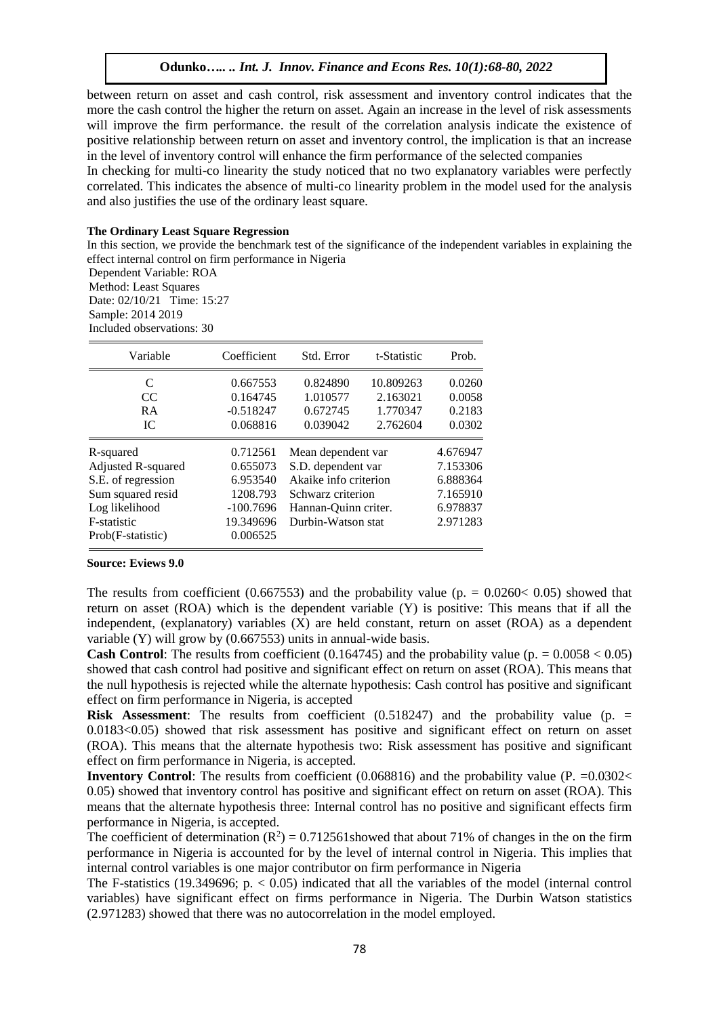between return on asset and cash control, risk assessment and inventory control indicates that the more the cash control the higher the return on asset. Again an increase in the level of risk assessments will improve the firm performance. the result of the correlation analysis indicate the existence of positive relationship between return on asset and inventory control, the implication is that an increase in the level of inventory control will enhance the firm performance of the selected companies

In checking for multi-co linearity the study noticed that no two explanatory variables were perfectly correlated. This indicates the absence of multi-co linearity problem in the model used for the analysis and also justifies the use of the ordinary least square.

#### **The Ordinary Least Square Regression**

In this section, we provide the benchmark test of the significance of the independent variables in explaining the effect internal control on firm performance in Nigeria

Dependent Variable: ROA

Method: Least Squares Date: 02/10/21 Time: 15:27 Sample: 2014 2019 Included observations: 30

| Variable           | Coefficient | Std. Error            | t-Statistic | Prob.    |
|--------------------|-------------|-----------------------|-------------|----------|
| C                  | 0.667553    | 0.824890              | 10.809263   | 0.0260   |
| CC.                | 0.164745    | 1.010577              | 2.163021    | 0.0058   |
| RA                 | $-0.518247$ | 0.672745              | 1.770347    | 0.2183   |
| IC.                | 0.068816    | 0.039042              | 2.762604    | 0.0302   |
| R-squared          | 0.712561    | Mean dependent var    |             | 4.676947 |
| Adjusted R-squared | 0.655073    | S.D. dependent var    |             | 7.153306 |
| S.E. of regression | 6.953540    | Akaike info criterion |             | 6.888364 |
| Sum squared resid  | 1208.793    | Schwarz criterion     |             | 7.165910 |
| Log likelihood     | $-100.7696$ | Hannan-Ouinn criter.  |             | 6.978837 |
| F-statistic        | 19.349696   | Durbin-Watson stat    |             | 2.971283 |
| Prob(F-statistic)  | 0.006525    |                       |             |          |

#### **Source: Eviews 9.0**

The results from coefficient (0.667553) and the probability value (p. =  $0.0260 < 0.05$ ) showed that return on asset (ROA) which is the dependent variable (Y) is positive: This means that if all the independent, (explanatory) variables (X) are held constant, return on asset (ROA) as a dependent variable (Y) will grow by (0.667553) units in annual-wide basis.

**Cash Control**: The results from coefficient (0.164745) and the probability value (p.  $= 0.0058 < 0.05$ ) showed that cash control had positive and significant effect on return on asset (ROA). This means that the null hypothesis is rejected while the alternate hypothesis: Cash control has positive and significant effect on firm performance in Nigeria, is accepted

**Risk Assessment**: The results from coefficient (0.518247) and the probability value (p. = 0.0183<0.05) showed that risk assessment has positive and significant effect on return on asset (ROA). This means that the alternate hypothesis two: Risk assessment has positive and significant effect on firm performance in Nigeria, is accepted.

**Inventory Control:** The results from coefficient (0.068816) and the probability value (P. = 0.0302< 0.05) showed that inventory control has positive and significant effect on return on asset (ROA). This means that the alternate hypothesis three: Internal control has no positive and significant effects firm performance in Nigeria, is accepted.

The coefficient of determination  $(R^2) = 0.712561$  showed that about 71% of changes in the on the firm performance in Nigeria is accounted for by the level of internal control in Nigeria. This implies that internal control variables is one major contributor on firm performance in Nigeria

The F-statistics (19.349696;  $p. < 0.05$ ) indicated that all the variables of the model (internal control variables) have significant effect on firms performance in Nigeria. The Durbin Watson statistics (2.971283) showed that there was no autocorrelation in the model employed.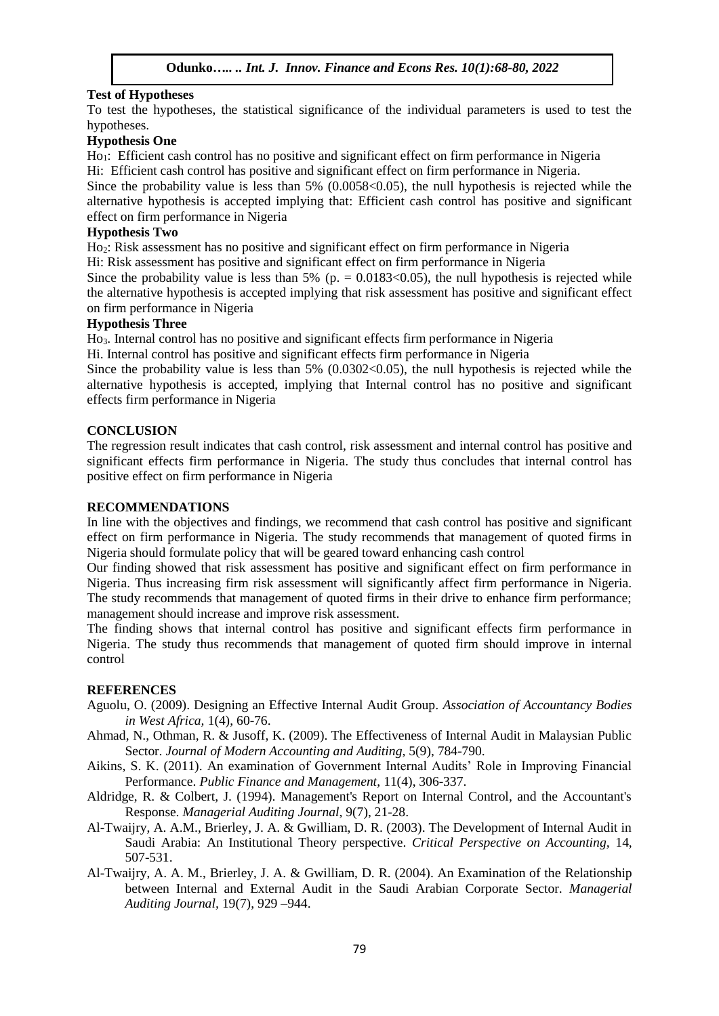# **Test of Hypotheses**

To test the hypotheses, the statistical significance of the individual parameters is used to test the hypotheses.

# **Hypothesis One**

Ho1: Efficient cash control has no positive and significant effect on firm performance in Nigeria Hi: Efficient cash control has positive and significant effect on firm performance in Nigeria.

Since the probability value is less than  $5\%$  (0.0058 < 0.05), the null hypothesis is rejected while the alternative hypothesis is accepted implying that: Efficient cash control has positive and significant effect on firm performance in Nigeria

# **Hypothesis Two**

Ho<sub>2</sub>: Risk assessment has no positive and significant effect on firm performance in Nigeria

Hi: Risk assessment has positive and significant effect on firm performance in Nigeria

Since the probability value is less than 5% (p.  $= 0.0183 \le 0.05$ ), the null hypothesis is rejected while the alternative hypothesis is accepted implying that risk assessment has positive and significant effect on firm performance in Nigeria

## **Hypothesis Three**

Ho3. Internal control has no positive and significant effects firm performance in Nigeria

Hi. Internal control has positive and significant effects firm performance in Nigeria

Since the probability value is less than  $5\%$  (0.0302 < 0.05), the null hypothesis is rejected while the alternative hypothesis is accepted, implying that Internal control has no positive and significant effects firm performance in Nigeria

# **CONCLUSION**

The regression result indicates that cash control, risk assessment and internal control has positive and significant effects firm performance in Nigeria. The study thus concludes that internal control has positive effect on firm performance in Nigeria

## **RECOMMENDATIONS**

In line with the objectives and findings, we recommend that cash control has positive and significant effect on firm performance in Nigeria. The study recommends that management of quoted firms in Nigeria should formulate policy that will be geared toward enhancing cash control

Our finding showed that risk assessment has positive and significant effect on firm performance in Nigeria. Thus increasing firm risk assessment will significantly affect firm performance in Nigeria. The study recommends that management of quoted firms in their drive to enhance firm performance; management should increase and improve risk assessment.

The finding shows that internal control has positive and significant effects firm performance in Nigeria. The study thus recommends that management of quoted firm should improve in internal control

# **REFERENCES**

- Aguolu, O. (2009). Designing an Effective Internal Audit Group. *Association of Accountancy Bodies in West Africa,* 1(4), 60-76.
- Ahmad, N., Othman, R. & Jusoff, K. (2009). The Effectiveness of Internal Audit in Malaysian Public Sector. *Journal of Modern Accounting and Auditing,* 5(9), 784-790.
- Aikins, S. K. (2011). An examination of Government Internal Audits' Role in Improving Financial Performance. *Public Finance and Management*, 11(4), 306-337.
- Aldridge, R. & Colbert, J. (1994). Management's Report on Internal Control, and the Accountant's Response. *Managerial Auditing Journal*, 9(7), 21-28.
- Al-Twaijry, A. A.M., Brierley, J. A. & Gwilliam, D. R. (2003). The Development of Internal Audit in Saudi Arabia: An Institutional Theory perspective. *Critical Perspective on Accounting,* 14, 507-531.
- Al-Twaijry, A. A. M., Brierley, J. A. & Gwilliam, D. R. (2004). An Examination of the Relationship between Internal and External Audit in the Saudi Arabian Corporate Sector. *Managerial Auditing Journal,* 19(7), 929 –944.